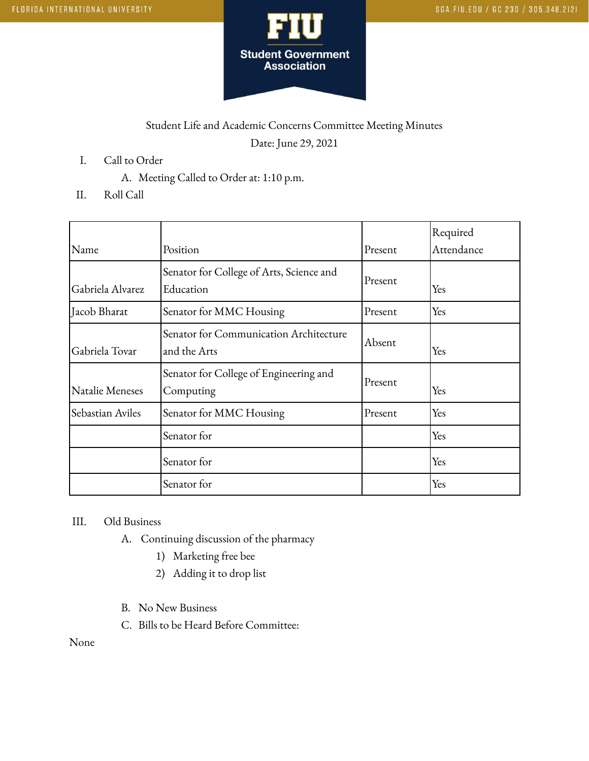

## Student Life and Academic Concerns Committee Meeting Minutes Date: June 29, 2021

- I. Call to Order
	- A. Meeting Called to Order at: 1:10 p.m.
- II. Roll Call

| Name             | Position                                               | Present | Required<br>Attendance |
|------------------|--------------------------------------------------------|---------|------------------------|
| Gabriela Alvarez | Senator for College of Arts, Science and<br>Education  | Present | Yes                    |
| Jacob Bharat     | Senator for MMC Housing                                | Present | Yes                    |
| Gabriela Tovar   | Senator for Communication Architecture<br>and the Arts | Absent  | Yes                    |
| Natalie Meneses  | Senator for College of Engineering and<br>Computing    | Present | Yes                    |
| Sebastian Aviles | Senator for MMC Housing                                | Present | Yes                    |
|                  | Senator for                                            |         | Yes                    |
|                  | Senator for                                            |         | Yes                    |
|                  | Senator for                                            |         | Yes                    |

## III. Old Business

- A. Continuing discussion of the pharmacy
	- 1) Marketing free bee
	- 2) Adding it to drop list
- B. No New Business
- C. Bills to be Heard Before Committee:

None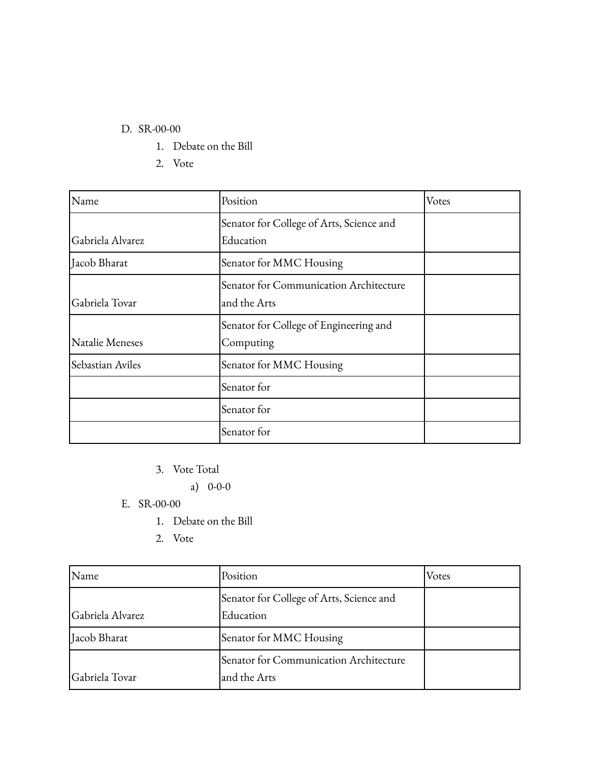## D. SR-00-00

- 1. Debate on the Bill
- 2. Vote

| Name             | Position                                 | Votes |
|------------------|------------------------------------------|-------|
|                  | Senator for College of Arts, Science and |       |
| Gabriela Alvarez | Education                                |       |
| Jacob Bharat     | Senator for MMC Housing                  |       |
|                  | Senator for Communication Architecture   |       |
| Gabriela Tovar   | and the Arts                             |       |
|                  | Senator for College of Engineering and   |       |
| Natalie Meneses  | Computing                                |       |
| Sebastian Aviles | Senator for MMC Housing                  |       |
|                  | Senator for                              |       |
|                  | Senator for                              |       |
|                  | Senator for                              |       |

3. Vote Total

a) 0-0-0

- E. SR-00-00
	- 1. Debate on the Bill
	- 2. Vote

| Name             | Position                                               | Votes |
|------------------|--------------------------------------------------------|-------|
| Gabriela Alvarez | Senator for College of Arts, Science and<br>Education  |       |
| Jacob Bharat     | Senator for MMC Housing                                |       |
| Gabriela Tovar   | Senator for Communication Architecture<br>and the Arts |       |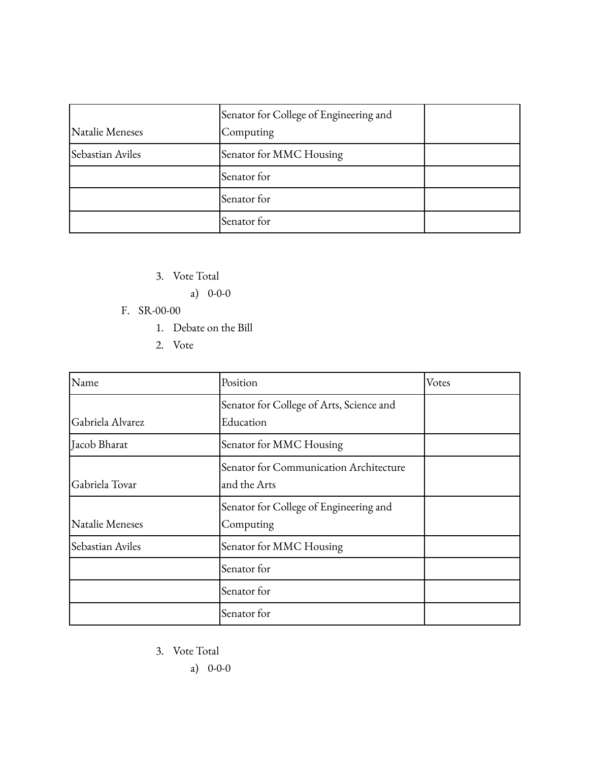|                  | Senator for College of Engineering and |  |
|------------------|----------------------------------------|--|
| Natalie Meneses  | Computing                              |  |
| Sebastian Aviles | Senator for MMC Housing                |  |
|                  | Senator for                            |  |
|                  | Senator for                            |  |
|                  | Senator for                            |  |

- 3. Vote Total
	- a) 0-0-0
- F. SR-00-00
	- 1. Debate on the Bill
	- 2. Vote

| Name             | Position                                               | Votes |
|------------------|--------------------------------------------------------|-------|
| Gabriela Alvarez | Senator for College of Arts, Science and<br>Education  |       |
| Jacob Bharat     | Senator for MMC Housing                                |       |
| Gabriela Tovar   | Senator for Communication Architecture<br>and the Arts |       |
| Natalie Meneses  | Senator for College of Engineering and<br>Computing    |       |
| Sebastian Aviles | Senator for MMC Housing                                |       |
|                  | Senator for                                            |       |
|                  | Senator for                                            |       |
|                  | Senator for                                            |       |

- 3. Vote Total
	- a) 0-0-0